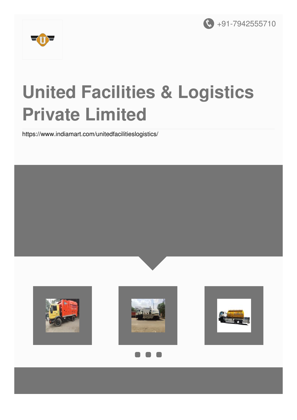



# **United Facilities & Logistics Private Limited**

<https://www.indiamart.com/unitedfacilitieslogistics/>









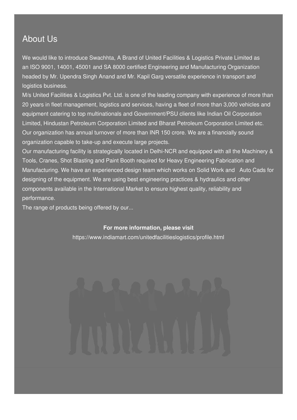### About Us

We would like to introduce Swachhta, A Brand of United Facilities & Logistics Private Limited as an ISO 9001, 14001, 45001 and SA 8000 certified Engineering and Manufacturing Organization headed by Mr. Upendra Singh Anand and Mr. Kapil Garg versatile experience in transport and logistics business.

M/s United Facilities & Logistics Pvt. Ltd. is one of the leading company with experience of more than 20 years in fleet management, logistics and services, having a fleet of more than 3,000 vehicles and equipment catering to top multinationals and Government/PSU clients like Indian Oil Corporation Limited, Hindustan Petroleum Corporation Limited and Bharat Petroleum Corporation Limited etc. Our organization has annual turnover of more than INR 150 crore. We are a financially sound organization capable to take-up and execute large projects.

Our manufacturing facility is strategically located in Delhi-NCR and equipped with all the Machinery & Tools, Cranes, Shot Blasting and Paint Booth required for Heavy Engineering Fabrication and Manufacturing. We have an experienced design team which works on Solid Work and Auto Cads for designing of the equipment. We are using best engineering practices & hydraulics and other components available in the International Market to ensure highest quality, reliability and performance.

The range of products being offered by our...

#### **For more information, please visit**

<https://www.indiamart.com/unitedfacilitieslogistics/profile.html>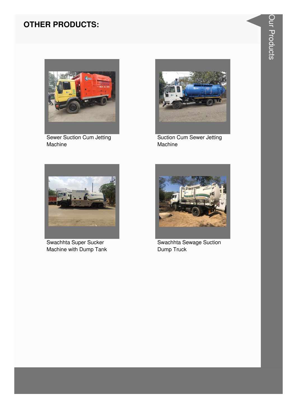#### **OTHER PRODUCTS:**



**Sewer Suction Cum Jetting** Machine



**Suction Cum Sewer Jetting** Machine



Swachhta Super Sucker Machine with Dump Tank



Swachhta Sewage Suction Dump Truck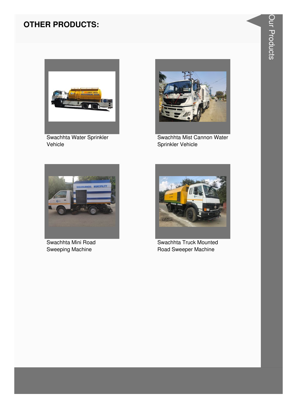#### **OTHER PRODUCTS:**



Swachhta Water Sprinkler Vehicle



Swachhta Mist Cannon Water Sprinkler Vehicle



Swachhta Mini Road Sweeping Machine



Swachhta Truck Mounted Road Sweeper Machine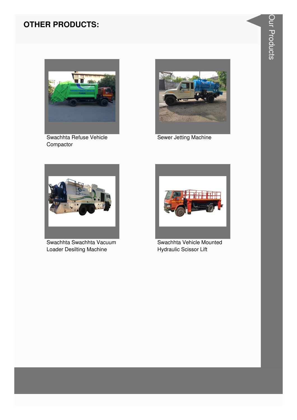#### **OTHER PRODUCTS:**



Swachhta Refuse Vehicle Compactor



Sewer Jetting Machine



Swachhta Swachhta Vacuum Loader Desilting Machine



Swachhta Vehicle Mounted **Hydraulic Scissor Lift**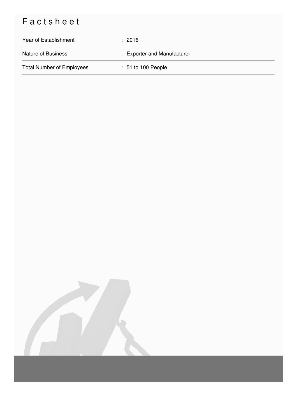## Factsheet

| Year of Establishment            | $\div$ 2016                 |
|----------------------------------|-----------------------------|
| <b>Nature of Business</b>        | : Exporter and Manufacturer |
| <b>Total Number of Employees</b> | $: 51$ to 100 People        |